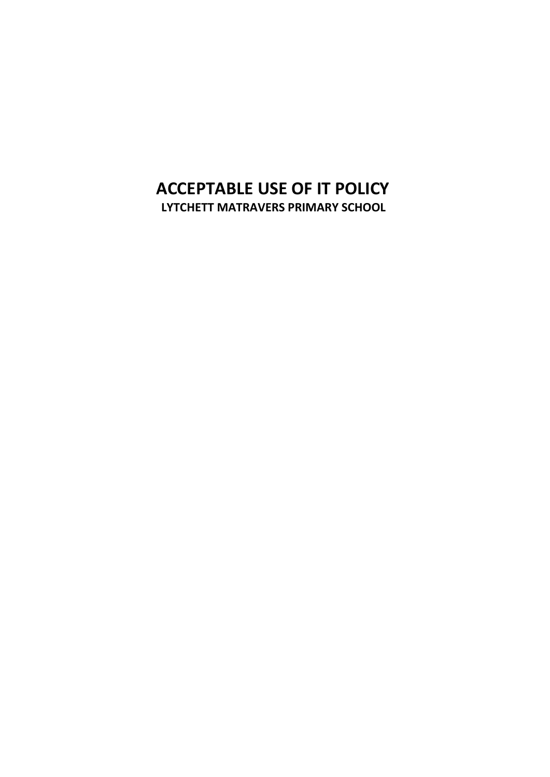## **ACCEPTABLE USE OF IT POLICY LYTCHETT MATRAVERS PRIMARY SCHOOL**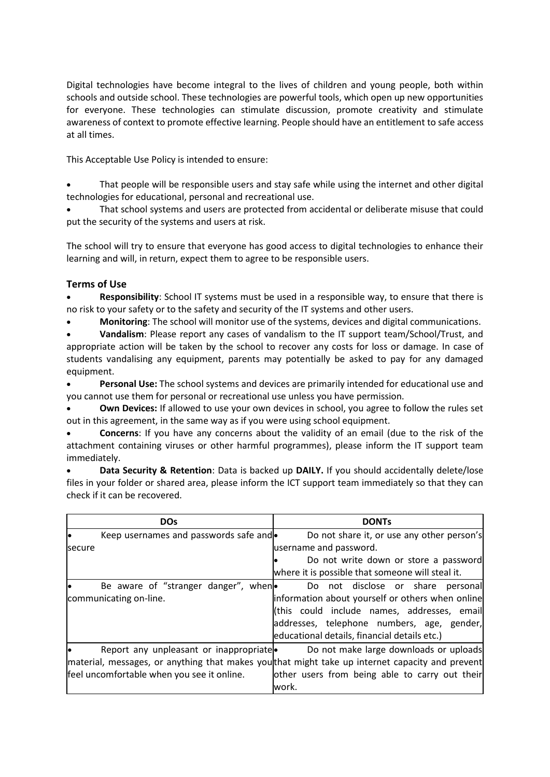Digital technologies have become integral to the lives of children and young people, both within schools and outside school. These technologies are powerful tools, which open up new opportunities for everyone. These technologies can stimulate discussion, promote creativity and stimulate awareness of context to promote effective learning. People should have an entitlement to safe access at all times.

This Acceptable Use Policy is intended to ensure:

• That people will be responsible users and stay safe while using the internet and other digital technologies for educational, personal and recreational use.

• That school systems and users are protected from accidental or deliberate misuse that could put the security of the systems and users at risk.

The school will try to ensure that everyone has good access to digital technologies to enhance their learning and will, in return, expect them to agree to be responsible users.

## **Terms of Use**

• **Responsibility**: School IT systems must be used in a responsible way, to ensure that there is no risk to your safety or to the safety and security of the IT systems and other users.

• **Monitoring**: The school will monitor use of the systems, devices and digital communications.

• **Vandalism**: Please report any cases of vandalism to the IT support team/School/Trust, and appropriate action will be taken by the school to recover any costs for loss or damage. In case of students vandalising any equipment, parents may potentially be asked to pay for any damaged equipment.

• **Personal Use:** The school systems and devices are primarily intended for educational use and you cannot use them for personal or recreational use unless you have permission.

• **Own Devices:** If allowed to use your own devices in school, you agree to follow the rules set out in this agreement, in the same way as if you were using school equipment.

• **Concerns**: If you have any concerns about the validity of an email (due to the risk of the attachment containing viruses or other harmful programmes), please inform the IT support team immediately.

• **Data Security & Retention**: Data is backed up **DAILY.** If you should accidentally delete/lose files in your folder or shared area, please inform the ICT support team immediately so that they can check if it can be recovered.

|                        | <b>DOs</b>                                 | <b>DONTs</b>                                                                                   |
|------------------------|--------------------------------------------|------------------------------------------------------------------------------------------------|
|                        | Keep usernames and passwords safe and •    | Do not share it, or use any other person's                                                     |
| secure                 |                                            | username and password.                                                                         |
|                        |                                            | Do not write down or store a password                                                          |
|                        |                                            | where it is possible that someone will steal it.                                               |
|                        | Be aware of "stranger danger", when        | Do not disclose or share personal                                                              |
| communicating on-line. |                                            | information about yourself or others when online                                               |
|                        |                                            | (this could include names, addresses, email                                                    |
|                        |                                            | addresses, telephone numbers, age, gender,                                                     |
|                        |                                            | educational details, financial details etc.)                                                   |
|                        | Report any unpleasant or inappropriate     | Do not make large downloads or uploads                                                         |
|                        |                                            | material, messages, or anything that makes youthat might take up internet capacity and prevent |
|                        | feel uncomfortable when you see it online. | other users from being able to carry out their                                                 |
|                        |                                            | work.                                                                                          |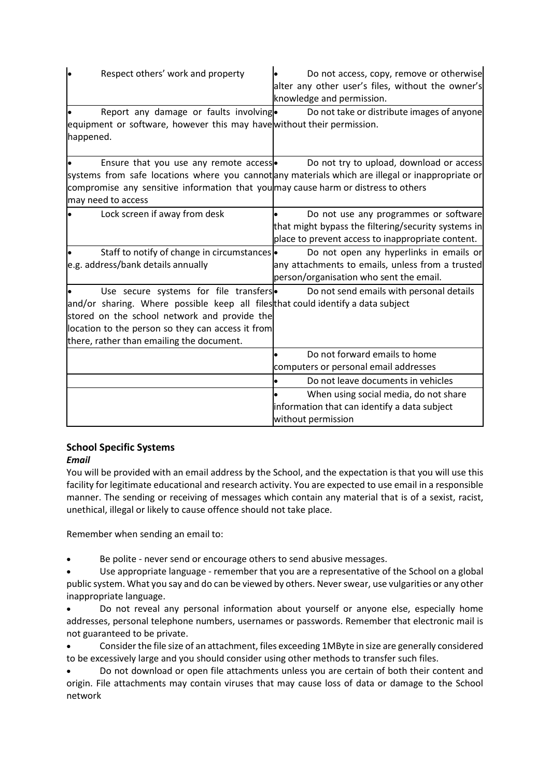| $\bullet$          | Respect others' work and property                                                                                                                                                       | Do not access, copy, remove or otherwise<br>alter any other user's files, without the owner's<br>knowledge and permission.                                                                                                         |
|--------------------|-----------------------------------------------------------------------------------------------------------------------------------------------------------------------------------------|------------------------------------------------------------------------------------------------------------------------------------------------------------------------------------------------------------------------------------|
| happened.          | Report any damage or faults involving.                                                                                                                                                  | Do not take or distribute images of anyone<br>equipment or software, however this may have without their permission.                                                                                                               |
| may need to access | Ensure that you use any remote access .                                                                                                                                                 | Do not try to upload, download or access<br>systems from safe locations where you cannot any materials which are illegal or inappropriate or<br>compromise any sensitive information that you may cause harm or distress to others |
|                    | Lock screen if away from desk                                                                                                                                                           | Do not use any programmes or software<br>that might bypass the filtering/security systems in<br>place to prevent access to inappropriate content.                                                                                  |
|                    | Staff to notify of change in circumstances .<br>e.g. address/bank details annually                                                                                                      | Do not open any hyperlinks in emails or<br>any attachments to emails, unless from a trusted<br>person/organisation who sent the email.                                                                                             |
|                    | Use secure systems for file transfers<br>stored on the school network and provide the<br>location to the person so they can access it from<br>there, rather than emailing the document. | Do not send emails with personal details<br>and/or sharing. Where possible keep all files that could identify a data subject                                                                                                       |
|                    |                                                                                                                                                                                         | Do not forward emails to home<br>computers or personal email addresses<br>Do not leave documents in vehicles<br>When using social media, do not share<br>information that can identify a data subject<br>without permission        |

# **School Specific Systems**

## *Email*

You will be provided with an email address by the School, and the expectation is that you will use this facility for legitimate educational and research activity. You are expected to use email in a responsible manner. The sending or receiving of messages which contain any material that is of a sexist, racist, unethical, illegal or likely to cause offence should not take place.

Remember when sending an email to:

Be polite - never send or encourage others to send abusive messages.

• Use appropriate language - remember that you are a representative of the School on a global public system. What you say and do can be viewed by others. Never swear, use vulgarities or any other inappropriate language.

• Do not reveal any personal information about yourself or anyone else, especially home addresses, personal telephone numbers, usernames or passwords. Remember that electronic mail is not guaranteed to be private.

• Consider the file size of an attachment, files exceeding 1MByte in size are generally considered to be excessively large and you should consider using other methods to transfer such files.

• Do not download or open file attachments unless you are certain of both their content and origin. File attachments may contain viruses that may cause loss of data or damage to the School network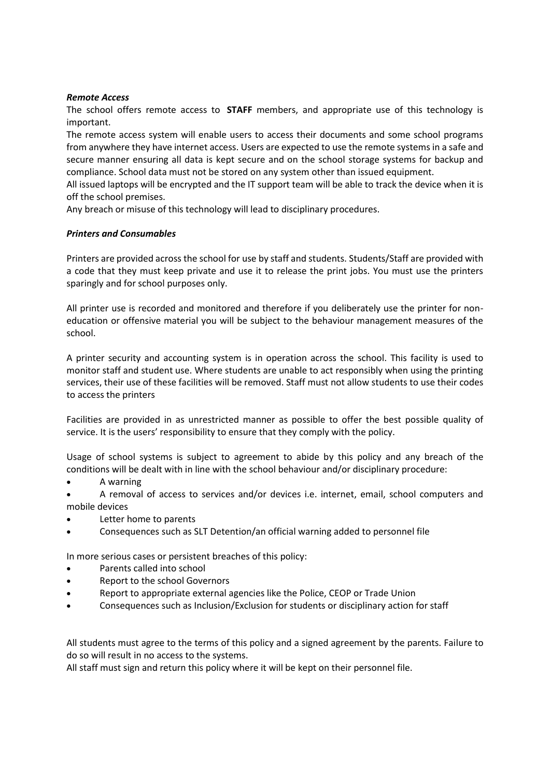#### *Remote Access*

The school offers remote access to **STAFF** members, and appropriate use of this technology is important.

The remote access system will enable users to access their documents and some school programs from anywhere they have internet access. Users are expected to use the remote systems in a safe and secure manner ensuring all data is kept secure and on the school storage systems for backup and compliance. School data must not be stored on any system other than issued equipment.

All issued laptops will be encrypted and the IT support team will be able to track the device when it is off the school premises.

Any breach or misuse of this technology will lead to disciplinary procedures.

#### *Printers and Consumables*

Printers are provided across the school for use by staff and students. Students/Staff are provided with a code that they must keep private and use it to release the print jobs. You must use the printers sparingly and for school purposes only.

All printer use is recorded and monitored and therefore if you deliberately use the printer for noneducation or offensive material you will be subject to the behaviour management measures of the school.

A printer security and accounting system is in operation across the school. This facility is used to monitor staff and student use. Where students are unable to act responsibly when using the printing services, their use of these facilities will be removed. Staff must not allow students to use their codes to access the printers

Facilities are provided in as unrestricted manner as possible to offer the best possible quality of service. It is the users' responsibility to ensure that they comply with the policy.

Usage of school systems is subject to agreement to abide by this policy and any breach of the conditions will be dealt with in line with the school behaviour and/or disciplinary procedure:

- A warning
- A removal of access to services and/or devices i.e. internet, email, school computers and mobile devices
- Letter home to parents
- Consequences such as SLT Detention/an official warning added to personnel file

In more serious cases or persistent breaches of this policy:

- Parents called into school
- Report to the school Governors
- Report to appropriate external agencies like the Police, CEOP or Trade Union
- Consequences such as Inclusion/Exclusion for students or disciplinary action for staff

All students must agree to the terms of this policy and a signed agreement by the parents. Failure to do so will result in no access to the systems.

All staff must sign and return this policy where it will be kept on their personnel file.